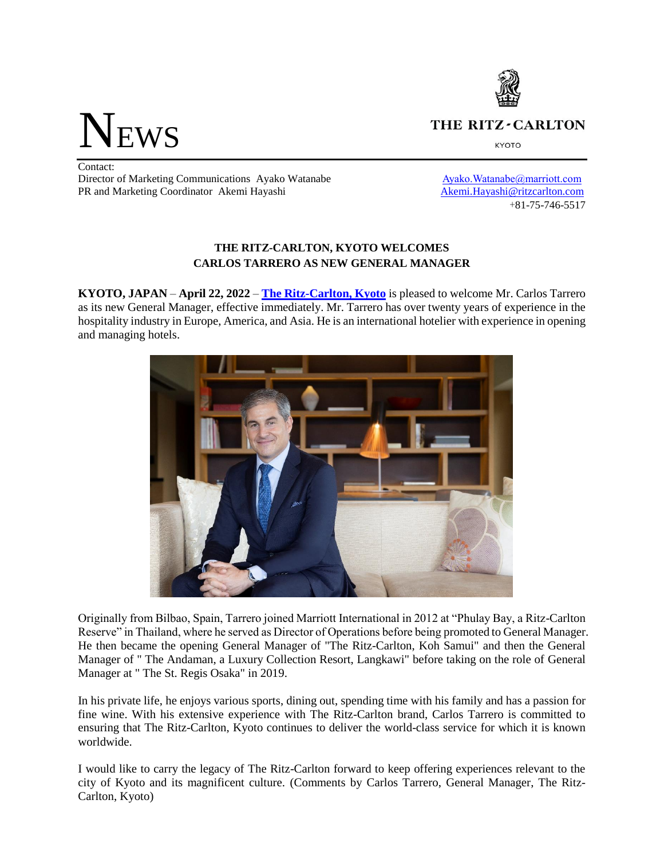THE RITZ-CARLTON

**KYOTO** 

**NEWS** 

Contact: Director of Marketing Communications Ayako Watanabe Ayako.Watanabe Ayako.Watanabe Ayako.Watanabe Ayako Watanabe Ayako Ayako Ayako Ayako Ayako Ayako Ayako Ayako Ayako Ayako Ayako Ayako Ayako Ayako Ayako Ayako Ayako Ayako Ay PR and Marketing Coordinator Akemi Hayashi Akemi.Hayashi [Akemi.Hayashi@ritzcarlton.com](mailto:Akemi.Hayashi@ritzcarlton.com)

+81-75-746-5517

## **THE RITZ-CARLTON, KYOTO WELCOMES CARLOS TARRERO AS NEW GENERAL MANAGER**

**KYOTO, JAPAN** – **April 22, 2022** – **[The Ritz-Carlton, Kyoto](https://www.ritzcarlton.com/en/hotels/japan/kyoto)** is pleased to welcome Mr. Carlos Tarrero as its new General Manager, effective immediately. Mr. Tarrero has over twenty years of experience in the hospitality industry in Europe, America, and Asia. He is an international hotelier with experience in opening and managing hotels.



Originally from Bilbao, Spain, Tarrero joined Marriott International in 2012 at "Phulay Bay, a Ritz-Carlton Reserve" in Thailand, where he served as Director of Operations before being promoted to General Manager. He then became the opening General Manager of "The Ritz-Carlton, Koh Samui" and then the General Manager of " The Andaman, a Luxury Collection Resort, Langkawi" before taking on the role of General Manager at " The St. Regis Osaka" in 2019.

In his private life, he enjoys various sports, dining out, spending time with his family and has a passion for fine wine. With his extensive experience with The Ritz-Carlton brand, Carlos Tarrero is committed to ensuring that The Ritz-Carlton, Kyoto continues to deliver the world-class service for which it is known worldwide.

I would like to carry the legacy of The Ritz-Carlton forward to keep offering experiences relevant to the city of Kyoto and its magnificent culture. (Comments by Carlos Tarrero, General Manager, The Ritz-Carlton, Kyoto)